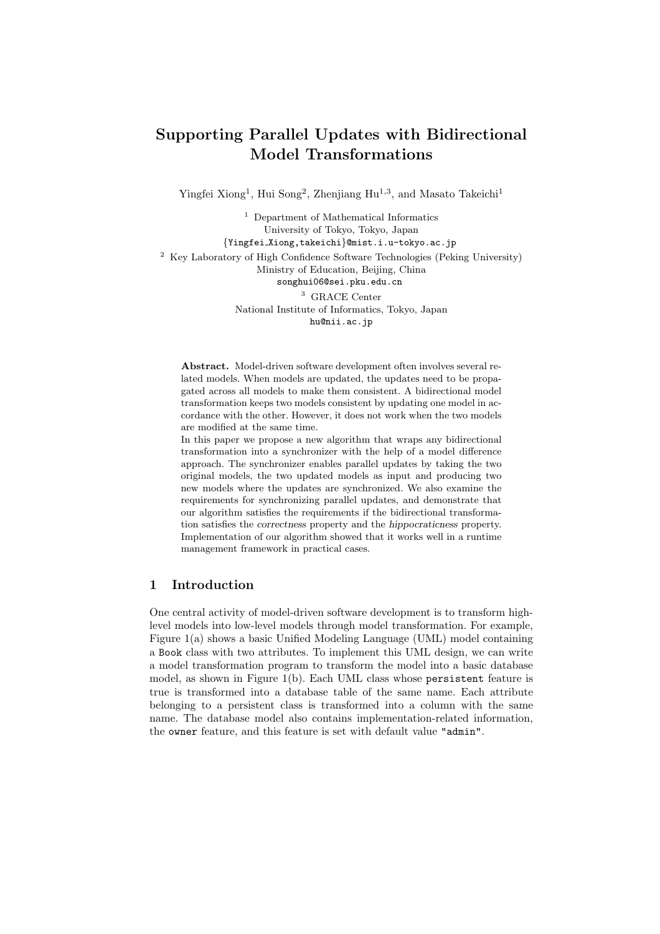# Supporting Parallel Updates with Bidirectional Model Transformations

Yingfei Xiong<sup>1</sup>, Hui Song<sup>2</sup>, Zhenjiang Hu<sup>1,3</sup>, and Masato Takeichi<sup>1</sup>

<sup>1</sup> Department of Mathematical Informatics University of Tokyo, Tokyo, Japan {Yingfei Xiong,takeichi}@mist.i.u-tokyo.ac.jp

<sup>2</sup> Key Laboratory of High Confidence Software Technologies (Peking University)

Ministry of Education, Beijing, China songhui06@sei.pku.edu.cn

<sup>3</sup> GRACE Center

National Institute of Informatics, Tokyo, Japan hu@nii.ac.jp

Abstract. Model-driven software development often involves several related models. When models are updated, the updates need to be propagated across all models to make them consistent. A bidirectional model transformation keeps two models consistent by updating one model in accordance with the other. However, it does not work when the two models are modified at the same time.

In this paper we propose a new algorithm that wraps any bidirectional transformation into a synchronizer with the help of a model difference approach. The synchronizer enables parallel updates by taking the two original models, the two updated models as input and producing two new models where the updates are synchronized. We also examine the requirements for synchronizing parallel updates, and demonstrate that our algorithm satisfies the requirements if the bidirectional transformation satisfies the correctness property and the hippocraticness property. Implementation of our algorithm showed that it works well in a runtime management framework in practical cases.

#### 1 Introduction

One central activity of model-driven software development is to transform highlevel models into low-level models through model transformation. For example, Figure 1(a) shows a basic Unified Modeling Language (UML) model containing a Book class with two attributes. To implement this UML design, we can write a model transformation program to transform the model into a basic database model, as shown in Figure 1(b). Each UML class whose persistent feature is true is transformed into a database table of the same name. Each attribute belonging to a persistent class is transformed into a column with the same name. The database model also contains implementation-related information, the owner feature, and this feature is set with default value "admin".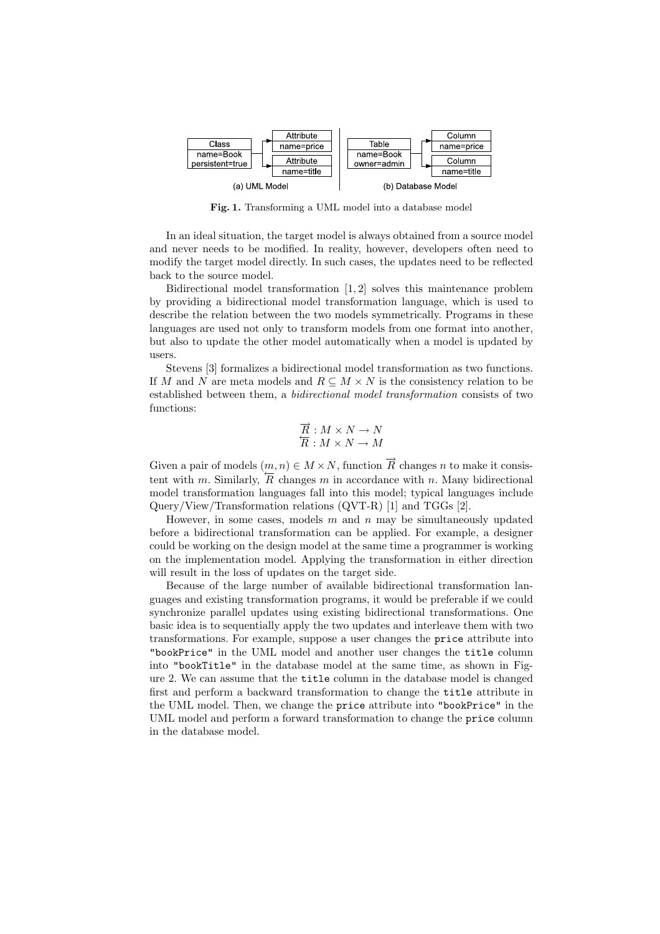

Fig. 1. Transforming a UML model into a database model

In an ideal situation, the target model is always obtained from a source model and never needs to be modified. In reality, however, developers often need to modify the target model directly. In such cases, the updates need to be reflected back to the source model.

Bidirectional model transformation [1, 2] solves this maintenance problem by providing a bidirectional model transformation language, which is used to describe the relation between the two models symmetrically. Programs in these languages are used not only to transform models from one format into another, but also to update the other model automatically when a model is updated by users.

Stevens [3] formalizes a bidirectional model transformation as two functions. If M and N are meta models and  $R \subseteq M \times N$  is the consistency relation to be established between them, a bidirectional model transformation consists of two functions:

$$
\frac{\overrightarrow{R}}{\overleftarrow{R}}: M \times N \to N
$$

$$
\frac{\overrightarrow{R}}{\overleftarrow{R}}: M \times N \to M
$$

Given a pair of models  $(m, n) \in M \times N$ , function  $\overrightarrow{R}$  changes n to make it consistent with m. Similarly,  $\overline{R}$  changes m in accordance with n. Many bidirectional model transformation languages fall into this model; typical languages include Query/View/Transformation relations (QVT-R) [1] and TGGs [2].

However, in some cases, models  $m$  and  $n$  may be simultaneously updated before a bidirectional transformation can be applied. For example, a designer could be working on the design model at the same time a programmer is working on the implementation model. Applying the transformation in either direction will result in the loss of updates on the target side.

Because of the large number of available bidirectional transformation languages and existing transformation programs, it would be preferable if we could synchronize parallel updates using existing bidirectional transformations. One basic idea is to sequentially apply the two updates and interleave them with two transformations. For example, suppose a user changes the price attribute into "bookPrice" in the UML model and another user changes the title column into "bookTitle" in the database model at the same time, as shown in Figure 2. We can assume that the title column in the database model is changed first and perform a backward transformation to change the title attribute in the UML model. Then, we change the price attribute into "bookPrice" in the UML model and perform a forward transformation to change the price column in the database model.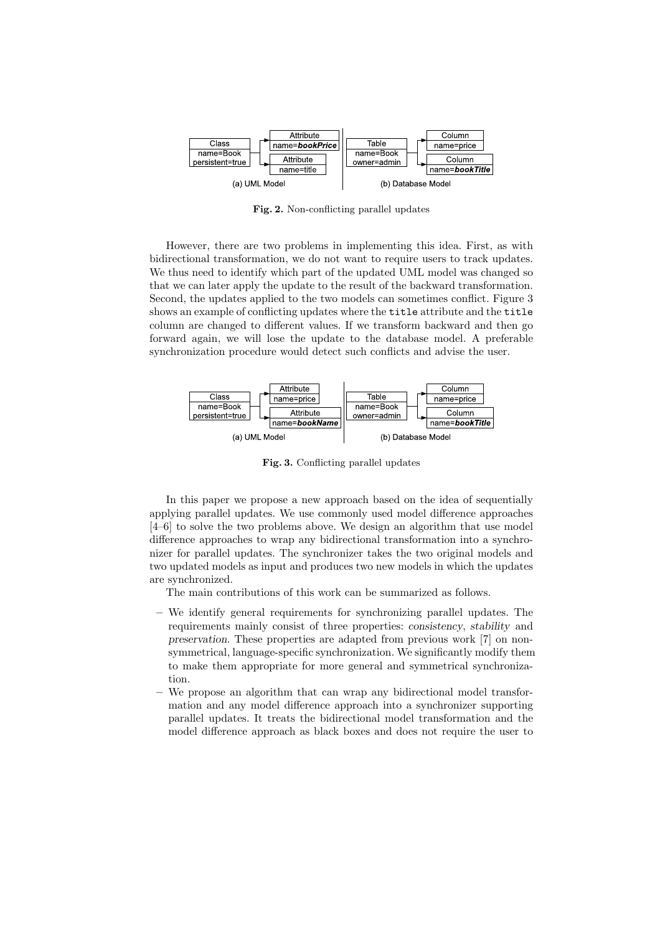

Fig. 2. Non-conflicting parallel updates

However, there are two problems in implementing this idea. First, as with bidirectional transformation, we do not want to require users to track updates. We thus need to identify which part of the updated UML model was changed so that we can later apply the update to the result of the backward transformation. Second, the updates applied to the two models can sometimes conflict. Figure 3 shows an example of conflicting updates where the title attribute and the title column are changed to different values. If we transform backward and then go forward again, we will lose the update to the database model. A preferable synchronization procedure would detect such conflicts and advise the user.



Fig. 3. Conflicting parallel updates

In this paper we propose a new approach based on the idea of sequentially applying parallel updates. We use commonly used model difference approaches [4–6] to solve the two problems above. We design an algorithm that use model difference approaches to wrap any bidirectional transformation into a synchronizer for parallel updates. The synchronizer takes the two original models and two updated models as input and produces two new models in which the updates are synchronized.

The main contributions of this work can be summarized as follows.

- We identify general requirements for synchronizing parallel updates. The requirements mainly consist of three properties: consistency, stability and preservation. These properties are adapted from previous work [7] on nonsymmetrical, language-specific synchronization. We significantly modify them to make them appropriate for more general and symmetrical synchronization.
- We propose an algorithm that can wrap any bidirectional model transformation and any model difference approach into a synchronizer supporting parallel updates. It treats the bidirectional model transformation and the model difference approach as black boxes and does not require the user to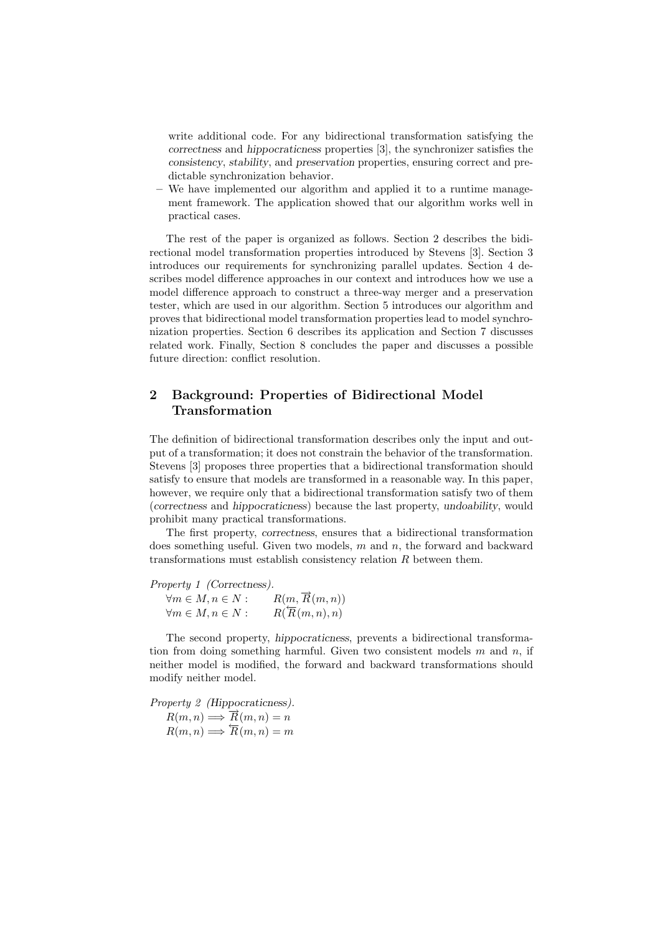write additional code. For any bidirectional transformation satisfying the correctness and hippocraticness properties [3], the synchronizer satisfies the consistency, stability, and preservation properties, ensuring correct and predictable synchronization behavior.

– We have implemented our algorithm and applied it to a runtime management framework. The application showed that our algorithm works well in practical cases.

The rest of the paper is organized as follows. Section 2 describes the bidirectional model transformation properties introduced by Stevens [3]. Section 3 introduces our requirements for synchronizing parallel updates. Section 4 describes model difference approaches in our context and introduces how we use a model difference approach to construct a three-way merger and a preservation tester, which are used in our algorithm. Section 5 introduces our algorithm and proves that bidirectional model transformation properties lead to model synchronization properties. Section 6 describes its application and Section 7 discusses related work. Finally, Section 8 concludes the paper and discusses a possible future direction: conflict resolution.

# 2 Background: Properties of Bidirectional Model Transformation

The definition of bidirectional transformation describes only the input and output of a transformation; it does not constrain the behavior of the transformation. Stevens [3] proposes three properties that a bidirectional transformation should satisfy to ensure that models are transformed in a reasonable way. In this paper, however, we require only that a bidirectional transformation satisfy two of them (correctness and hippocraticness) because the last property, undoability, would prohibit many practical transformations.

The first property, correctness, ensures that a bidirectional transformation does something useful. Given two models,  $m$  and  $n$ , the forward and backward transformations must establish consistency relation R between them.

Property 1 (Correctness).

 $\forall m \in M, n \in N:$  $R(m, \overrightarrow{R}(m, n))$  $\forall m \in M, n \in N:$  $R(\overline{R}(m, n), n)$ 

The second property, hippocraticness, prevents a bidirectional transformation from doing something harmful. Given two consistent models  $m$  and  $n$ , if neither model is modified, the forward and backward transformations should modify neither model.

Property 2 (Hippocraticness).

 $R(m, n) \Longrightarrow \overrightarrow{R}(m, n) = n$  $R(m, n) \Longrightarrow R(m, n) = m$ <br> $R(m, n) \Longrightarrow R(m, n) = m$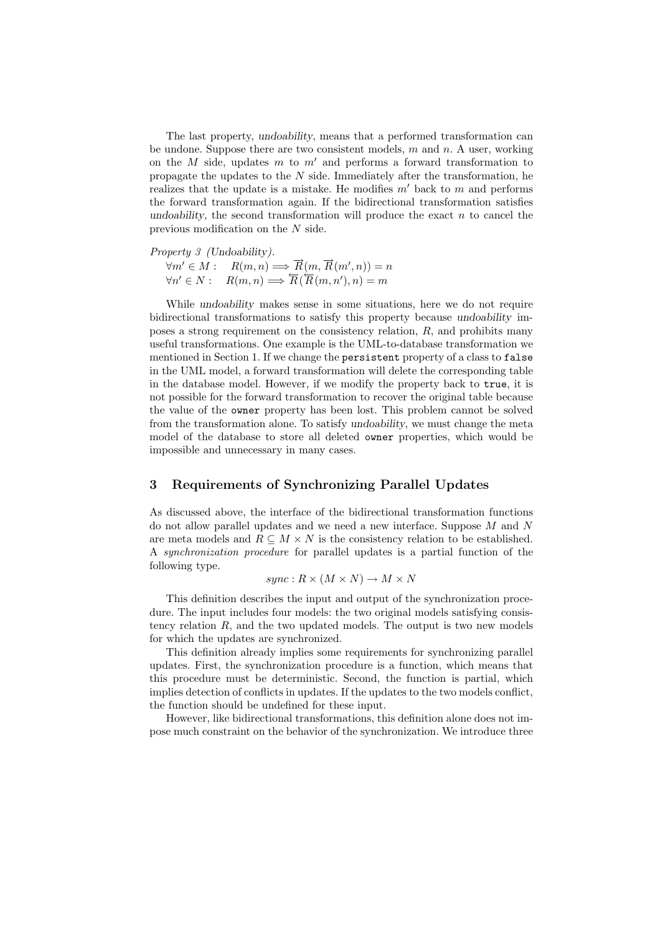The last property, undoability, means that a performed transformation can be undone. Suppose there are two consistent models,  $m$  and  $n$ . A user, working on the  $M$  side, updates  $m$  to  $m'$  and performs a forward transformation to propagate the updates to the  $N$  side. Immediately after the transformation, he realizes that the update is a mistake. He modifies  $m'$  back to m and performs the forward transformation again. If the bidirectional transformation satisfies undoability, the second transformation will produce the exact  $n$  to cancel the previous modification on the N side.

Property 3 (Undoability).

 $\forall m' \in M: \quad R(m,n) \Longrightarrow \vec{R}(m,\vec{R}(m',n)) = n$  $\forall n' \in N:$   $R(m, n) \Longrightarrow R(\overline{R}(m, n'), n) = m$ 

While undoability makes sense in some situations, here we do not require bidirectional transformations to satisfy this property because undoability imposes a strong requirement on the consistency relation,  $R$ , and prohibits many useful transformations. One example is the UML-to-database transformation we mentioned in Section 1. If we change the persistent property of a class to false in the UML model, a forward transformation will delete the corresponding table in the database model. However, if we modify the property back to true, it is not possible for the forward transformation to recover the original table because the value of the owner property has been lost. This problem cannot be solved from the transformation alone. To satisfy undoability, we must change the meta model of the database to store all deleted owner properties, which would be impossible and unnecessary in many cases.

## 3 Requirements of Synchronizing Parallel Updates

As discussed above, the interface of the bidirectional transformation functions do not allow parallel updates and we need a new interface. Suppose M and N are meta models and  $R \subseteq M \times N$  is the consistency relation to be established. A synchronization procedure for parallel updates is a partial function of the following type.

$$
sync: R \times (M \times N) \to M \times N
$$

This definition describes the input and output of the synchronization procedure. The input includes four models: the two original models satisfying consistency relation  $R$ , and the two updated models. The output is two new models for which the updates are synchronized.

This definition already implies some requirements for synchronizing parallel updates. First, the synchronization procedure is a function, which means that this procedure must be deterministic. Second, the function is partial, which implies detection of conflicts in updates. If the updates to the two models conflict, the function should be undefined for these input.

However, like bidirectional transformations, this definition alone does not impose much constraint on the behavior of the synchronization. We introduce three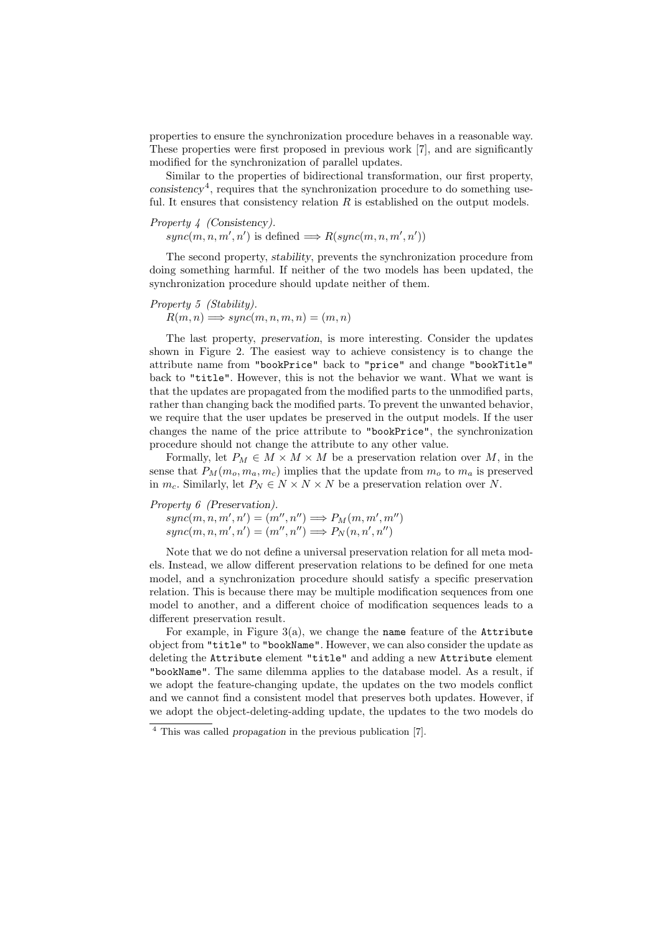properties to ensure the synchronization procedure behaves in a reasonable way. These properties were first proposed in previous work [7], and are significantly modified for the synchronization of parallel updates.

Similar to the properties of bidirectional transformation, our first property, consistency<sup>4</sup>, requires that the synchronization procedure to do something useful. It ensures that consistency relation  $R$  is established on the output models.

#### Property 4 (Consistency).

 $sync(m, n, m', n')$  is defined  $\Longrightarrow R(sync(m, n, m', n'))$ 

The second property, stability, prevents the synchronization procedure from doing something harmful. If neither of the two models has been updated, the synchronization procedure should update neither of them.

#### Property 5 (Stability).

 $R(m, n) \Longrightarrow sync(m, n, m, n) = (m, n)$ 

The last property, preservation, is more interesting. Consider the updates shown in Figure 2. The easiest way to achieve consistency is to change the attribute name from "bookPrice" back to "price" and change "bookTitle" back to "title". However, this is not the behavior we want. What we want is that the updates are propagated from the modified parts to the unmodified parts, rather than changing back the modified parts. To prevent the unwanted behavior, we require that the user updates be preserved in the output models. If the user changes the name of the price attribute to "bookPrice", the synchronization procedure should not change the attribute to any other value.

Formally, let  $P_M \in M \times M \times M$  be a preservation relation over M, in the sense that  $P_M(m_o, m_a, m_c)$  implies that the update from  $m_o$  to  $m_a$  is preserved in  $m_c$ . Similarly, let  $P_N \in N \times N \times N$  be a preservation relation over N.

#### Property 6 (Preservation).

 $sync(m, n, m', n') = (m'', n'') \Longrightarrow P_M(m, m', m'')$  $sync(m, n, m', n') = (m'', n'') \Longrightarrow P_N(n, n', n'')$ 

Note that we do not define a universal preservation relation for all meta models. Instead, we allow different preservation relations to be defined for one meta model, and a synchronization procedure should satisfy a specific preservation relation. This is because there may be multiple modification sequences from one model to another, and a different choice of modification sequences leads to a different preservation result.

For example, in Figure 3(a), we change the name feature of the Attribute object from "title" to "bookName". However, we can also consider the update as deleting the Attribute element "title" and adding a new Attribute element "bookName". The same dilemma applies to the database model. As a result, if we adopt the feature-changing update, the updates on the two models conflict and we cannot find a consistent model that preserves both updates. However, if we adopt the object-deleting-adding update, the updates to the two models do

<sup>4</sup> This was called propagation in the previous publication [7].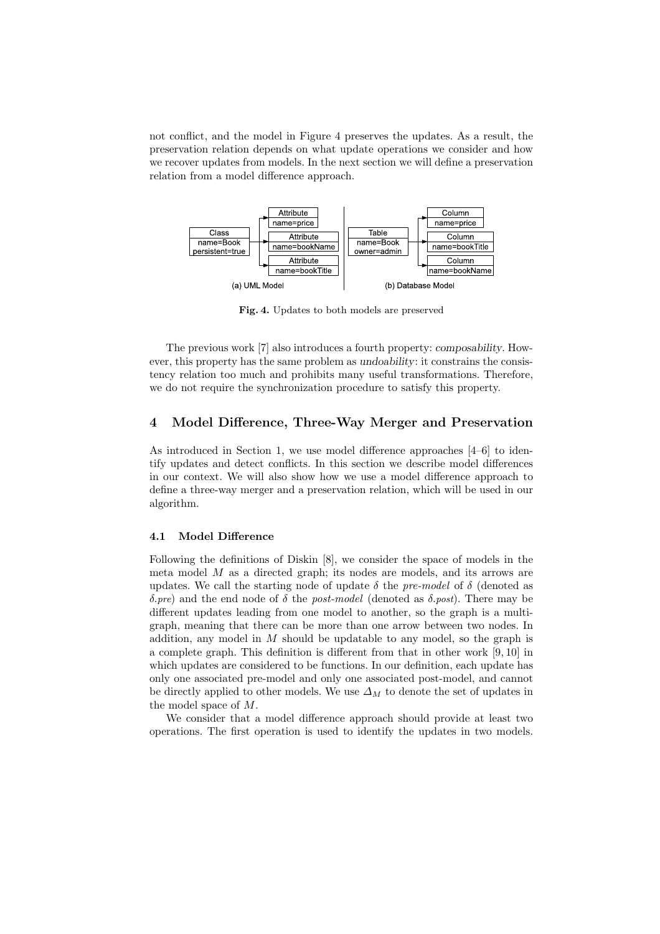not conflict, and the model in Figure 4 preserves the updates. As a result, the preservation relation depends on what update operations we consider and how we recover updates from models. In the next section we will define a preservation relation from a model difference approach.



Fig. 4. Updates to both models are preserved

The previous work [7] also introduces a fourth property: composability. However, this property has the same problem as undoability: it constrains the consistency relation too much and prohibits many useful transformations. Therefore, we do not require the synchronization procedure to satisfy this property.

#### 4 Model Difference, Three-Way Merger and Preservation

As introduced in Section 1, we use model difference approaches [4–6] to identify updates and detect conflicts. In this section we describe model differences in our context. We will also show how we use a model difference approach to define a three-way merger and a preservation relation, which will be used in our algorithm.

#### 4.1 Model Difference

Following the definitions of Diskin [8], we consider the space of models in the meta model M as a directed graph; its nodes are models, and its arrows are updates. We call the starting node of update  $\delta$  the pre-model of  $\delta$  (denoted as  $δ. pre)$  and the end node of δ the *post-model* (denoted as  $δ. post)$ . There may be different updates leading from one model to another, so the graph is a multigraph, meaning that there can be more than one arrow between two nodes. In addition, any model in  $M$  should be updatable to any model, so the graph is a complete graph. This definition is different from that in other work [9, 10] in which updates are considered to be functions. In our definition, each update has only one associated pre-model and only one associated post-model, and cannot be directly applied to other models. We use  $\Delta_M$  to denote the set of updates in the model space of M.

We consider that a model difference approach should provide at least two operations. The first operation is used to identify the updates in two models.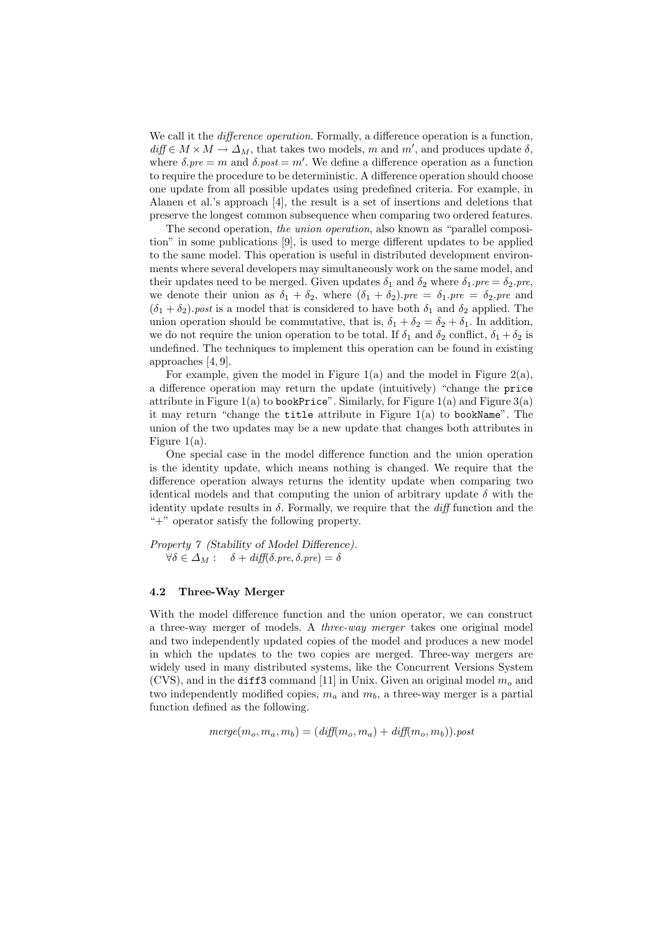We call it the *difference operation*. Formally, a difference operation is a function,  $diff \in M \times M \to \Delta_M$ , that takes two models, m and m', and produces update  $\delta$ , where  $\delta$  *pre* = *m* and  $\delta$  *post* = *m'*. We define a difference operation as a function to require the procedure to be deterministic. A difference operation should choose one update from all possible updates using predefined criteria. For example, in Alanen et al.'s approach [4], the result is a set of insertions and deletions that preserve the longest common subsequence when comparing two ordered features.

The second operation, the union operation, also known as "parallel composition" in some publications [9], is used to merge different updates to be applied to the same model. This operation is useful in distributed development environments where several developers may simultaneously work on the same model, and their updates need to be merged. Given updates  $\delta_1$  and  $\delta_2$  where  $\delta_1$ .pre =  $\delta_2$ .pre, we denote their union as  $\delta_1 + \delta_2$ , where  $(\delta_1 + \delta_2)$ . pre =  $\delta_1$ . pre =  $\delta_2$ . pre and  $(\delta_1 + \delta_2)$ , post is a model that is considered to have both  $\delta_1$  and  $\delta_2$  applied. The union operation should be commutative, that is,  $\delta_1 + \delta_2 = \delta_2 + \delta_1$ . In addition, we do not require the union operation to be total. If  $\delta_1$  and  $\delta_2$  conflict,  $\delta_1 + \delta_2$  is undefined. The techniques to implement this operation can be found in existing approaches [4, 9].

For example, given the model in Figure  $1(a)$  and the model in Figure  $2(a)$ , a difference operation may return the update (intuitively) "change the price attribute in Figure 1(a) to bookPrice". Similarly, for Figure 1(a) and Figure 3(a) it may return "change the title attribute in Figure  $1(a)$  to bookName". The union of the two updates may be a new update that changes both attributes in Figure  $1(a)$ .

One special case in the model difference function and the union operation is the identity update, which means nothing is changed. We require that the difference operation always returns the identity update when comparing two identical models and that computing the union of arbitrary update  $\delta$  with the identity update results in  $\delta$ . Formally, we require that the *diff* function and the "+" operator satisfy the following property.

Property 7 (Stability of Model Difference).  $\forall \delta \in \Delta_M : \quad \delta + \text{diff}(\delta.\text{pre}, \delta.\text{pre}) = \delta$ 

#### 4.2 Three-Way Merger

With the model difference function and the union operator, we can construct a three-way merger of models. A three-way merger takes one original model and two independently updated copies of the model and produces a new model in which the updates to the two copies are merged. Three-way mergers are widely used in many distributed systems, like the Concurrent Versions System (CVS), and in the diff3 command [11] in Unix. Given an original model  $m<sub>o</sub>$  and two independently modified copies,  $m_a$  and  $m_b$ , a three-way merger is a partial function defined as the following.

$$
merge(m_o, m_a, m_b) = (diff(m_o, m_a) + diff(m_o, m_b)).post
$$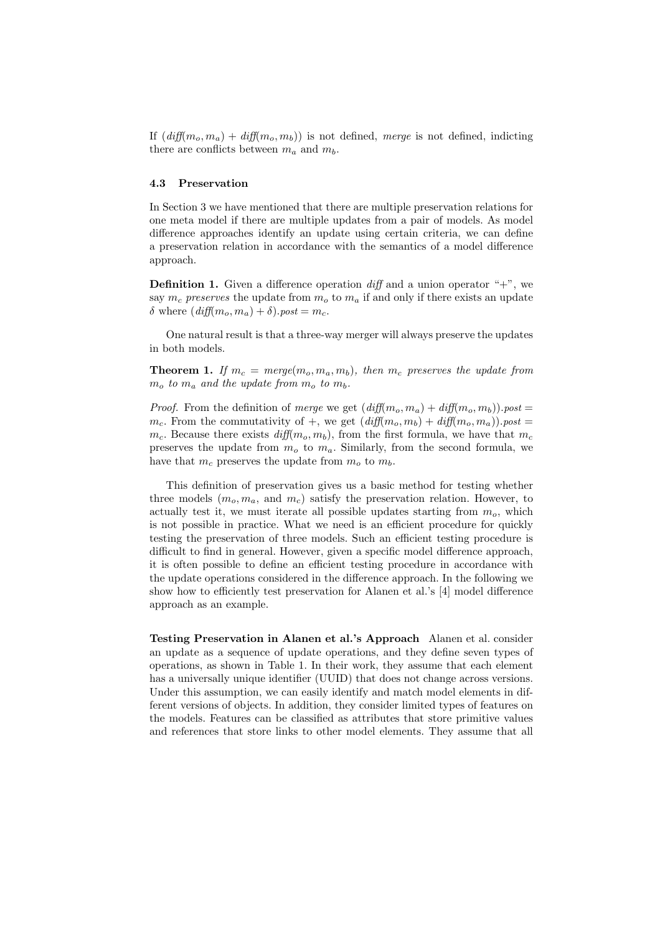If  $(diff(m_o, m_a) + diff(m_o, m_b))$  is not defined, merge is not defined, indicting there are conflicts between  $m_a$  and  $m_b$ .

#### 4.3 Preservation

In Section 3 we have mentioned that there are multiple preservation relations for one meta model if there are multiple updates from a pair of models. As model difference approaches identify an update using certain criteria, we can define a preservation relation in accordance with the semantics of a model difference approach.

**Definition 1.** Given a difference operation  $diff$  and a union operator "+", we say  $m_c$  preserves the update from  $m_o$  to  $m_a$  if and only if there exists an update  $\delta$  where  $(dif f(m_0, m_0) + \delta)$ . post = m.

One natural result is that a three-way merger will always preserve the updates in both models.

**Theorem 1.** If  $m_c = merge(m_o, m_a, m_b)$ , then  $m_c$  preserves the update from  $m<sub>o</sub>$  to  $m<sub>a</sub>$  and the update from  $m<sub>o</sub>$  to  $m<sub>b</sub>$ .

*Proof.* From the definition of merge we get  $(diff(m_0, m_a) + diff(m_0, m_b))$ .post =  $m_c$ . From the commutativity of +, we get  $(diff(m_o, m_b) + diff(m_o, m_a))$ .post =  $m_c$ . Because there exists  $diff(m_o, m_b)$ , from the first formula, we have that  $m_c$ preserves the update from  $m<sub>o</sub>$  to  $m<sub>a</sub>$ . Similarly, from the second formula, we have that  $m_c$  preserves the update from  $m_o$  to  $m_b$ .

This definition of preservation gives us a basic method for testing whether three models  $(m_o, m_a, \text{ and } m_c)$  satisfy the preservation relation. However, to actually test it, we must iterate all possible updates starting from  $m<sub>o</sub>$ , which is not possible in practice. What we need is an efficient procedure for quickly testing the preservation of three models. Such an efficient testing procedure is difficult to find in general. However, given a specific model difference approach, it is often possible to define an efficient testing procedure in accordance with the update operations considered in the difference approach. In the following we show how to efficiently test preservation for Alanen et al.'s [4] model difference approach as an example.

Testing Preservation in Alanen et al.'s Approach Alanen et al. consider an update as a sequence of update operations, and they define seven types of operations, as shown in Table 1. In their work, they assume that each element has a universally unique identifier (UUID) that does not change across versions. Under this assumption, we can easily identify and match model elements in different versions of objects. In addition, they consider limited types of features on the models. Features can be classified as attributes that store primitive values and references that store links to other model elements. They assume that all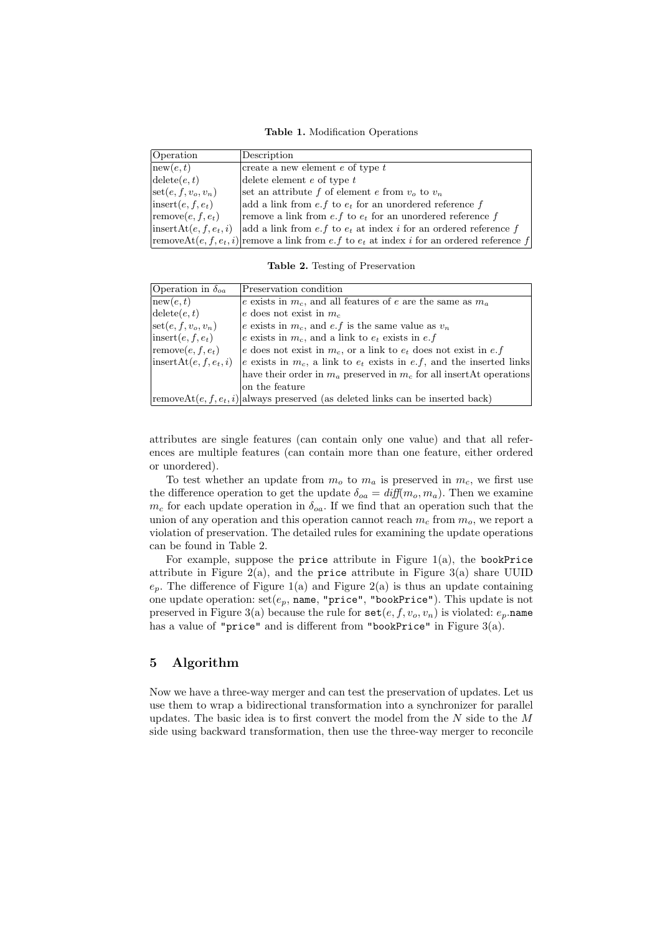Table 1. Modification Operations

| Operation                            | Description                                                                                              |
|--------------------------------------|----------------------------------------------------------------------------------------------------------|
| $\vert \text{new}(e, t) \vert$       | create a new element $e$ of type $t$                                                                     |
| $\det(e, t)$                         | delete element $e$ of type $t$                                                                           |
| $\left[ set(e, f, v_o, v_n) \right]$ | set an attribute f of element e from $vo$ to $vn$                                                        |
| $ insert(e, f, e_t) $                | add a link from $e.f$ to $e_t$ for an unordered reference f                                              |
| $ $ remove $(e, f, e_t)$             | remove a link from $e.f$ to $e_t$ for an unordered reference $f$                                         |
| $ insertAt(e, f, e_t, i) $           | add a link from $e.f$ to $e_t$ at index i for an ordered reference f                                     |
|                                      | remove $\text{At}(e, f, e_t, i)$ remove a link from $e.f$ to $e_t$ at index i for an ordered reference f |

Table 2. Testing of Preservation

| Operation in $\delta_{oa}$         | Preservation condition                                                                         |
|------------------------------------|------------------------------------------------------------------------------------------------|
| $\vert$ new $(e, t)$               | e exists in $m_c$ , and all features of e are the same as $m_a$                                |
| $\det(e, t)$                       | e does not exist in $m_c$                                                                      |
| $\left[set(e, f, v_o, v_n)\right]$ | e exists in $m_c$ , and e.f is the same value as $v_n$                                         |
| $ insert(e, f, e_t) $              | e exists in $m_c$ , and a link to $e_t$ exists in e.f                                          |
| $ $ remove $(e, f, e_t)$           | e does not exist in $m_c$ , or a link to $e_t$ does not exist in e.f                           |
| $\text{insertAt}(e, f, e_t, i)$    | e exists in $m_c$ , a link to $e_t$ exists in e.f, and the inserted links                      |
|                                    | have their order in $m_a$ preserved in $m_c$ for all insertAt operations                       |
|                                    | on the feature                                                                                 |
|                                    | $ $ remove $\text{At}(e, f, e_t, i) $ always preserved (as deleted links can be inserted back) |

attributes are single features (can contain only one value) and that all references are multiple features (can contain more than one feature, either ordered or unordered).

To test whether an update from  $m<sub>o</sub>$  to  $m<sub>a</sub>$  is preserved in  $m<sub>c</sub>$ , we first use the difference operation to get the update  $\delta_{oa} = \text{diff}(m_o, m_a)$ . Then we examine  $m_c$  for each update operation in  $\delta_{oa}$ . If we find that an operation such that the union of any operation and this operation cannot reach  $m_c$  from  $m_o$ , we report a violation of preservation. The detailed rules for examining the update operations can be found in Table 2.

For example, suppose the price attribute in Figure 1(a), the bookPrice attribute in Figure 2(a), and the price attribute in Figure 3(a) share UUID  $e_p$ . The difference of Figure 1(a) and Figure 2(a) is thus an update containing one update operation:  $set(e_p, \text{name}, \text{ "price", "bookPrice").}$  This update is not preserved in Figure 3(a) because the rule for  $set(e, f, v_o, v_n)$  is violated:  $e_n$  name has a value of "price" and is different from "bookPrice" in Figure  $3(a)$ .

### 5 Algorithm

Now we have a three-way merger and can test the preservation of updates. Let us use them to wrap a bidirectional transformation into a synchronizer for parallel updates. The basic idea is to first convert the model from the  $N$  side to the  $M$ side using backward transformation, then use the three-way merger to reconcile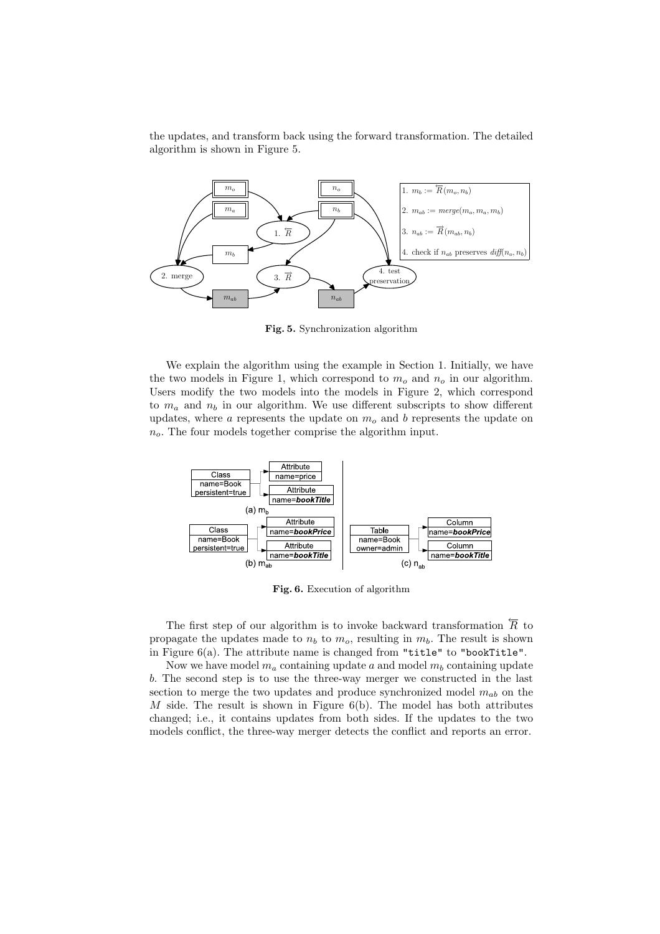the updates, and transform back using the forward transformation. The detailed algorithm is shown in Figure 5.



Fig. 5. Synchronization algorithm

We explain the algorithm using the example in Section 1. Initially, we have the two models in Figure 1, which correspond to  $m<sub>o</sub>$  and  $n<sub>o</sub>$  in our algorithm. Users modify the two models into the models in Figure 2, which correspond to  $m_a$  and  $n_b$  in our algorithm. We use different subscripts to show different updates, where a represents the update on  $m<sub>o</sub>$  and b represents the update on  $n<sub>o</sub>$ . The four models together comprise the algorithm input.



Fig. 6. Execution of algorithm

The first step of our algorithm is to invoke backward transformation  $\overline{R}$  to propagate the updates made to  $n_b$  to  $m_o$ , resulting in  $m_b$ . The result is shown in Figure  $6(a)$ . The attribute name is changed from "title" to "bookTitle".

Now we have model  $m_a$  containing update a and model  $m_b$  containing update b. The second step is to use the three-way merger we constructed in the last section to merge the two updates and produce synchronized model  $m_{ab}$  on the M side. The result is shown in Figure  $6(b)$ . The model has both attributes changed; i.e., it contains updates from both sides. If the updates to the two models conflict, the three-way merger detects the conflict and reports an error.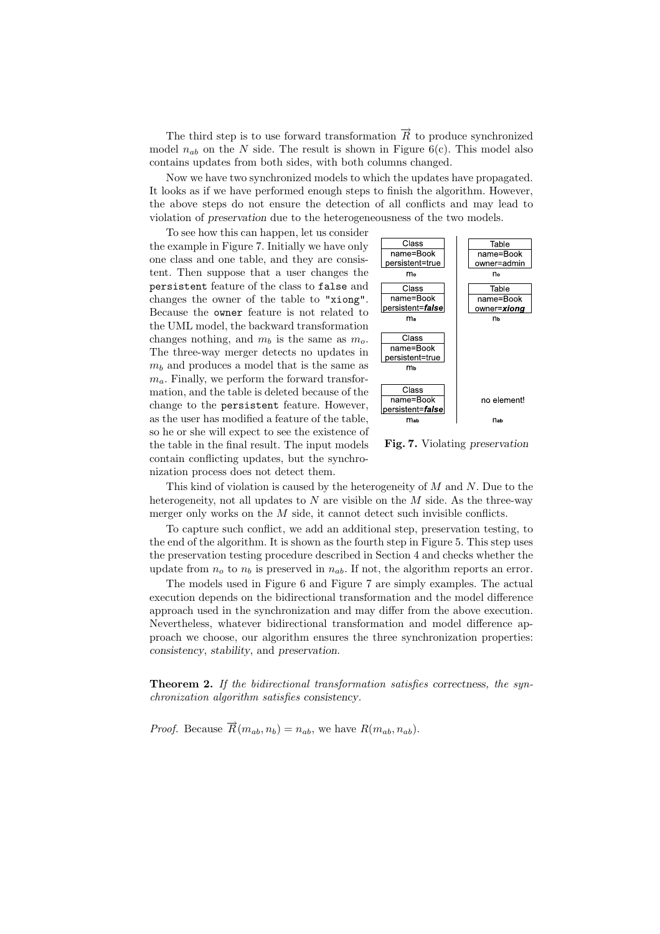The third step is to use forward transformation  $\overline{R}$  to produce synchronized model  $n_{ab}$  on the N side. The result is shown in Figure 6(c). This model also contains updates from both sides, with both columns changed.

Now we have two synchronized models to which the updates have propagated. It looks as if we have performed enough steps to finish the algorithm. However, the above steps do not ensure the detection of all conflicts and may lead to violation of preservation due to the heterogeneousness of the two models.

To see how this can happen, let us consider the example in Figure 7. Initially we have only one class and one table, and they are consistent. Then suppose that a user changes the persistent feature of the class to false and changes the owner of the table to "xiong". Because the owner feature is not related to the UML model, the backward transformation changes nothing, and  $m_b$  is the same as  $m_o$ . The three-way merger detects no updates in  $m_b$  and produces a model that is the same as  $m_a$ . Finally, we perform the forward transformation, and the table is deleted because of the change to the persistent feature. However, as the user has modified a feature of the table, so he or she will expect to see the existence of the table in the final result. The input models contain conflicting updates, but the synchronization process does not detect them.



Fig. 7. Violating preservation

This kind of violation is caused by the heterogeneity of  $M$  and  $N$ . Due to the heterogeneity, not all updates to N are visible on the M side. As the three-way merger only works on the  $M$  side, it cannot detect such invisible conflicts.

To capture such conflict, we add an additional step, preservation testing, to the end of the algorithm. It is shown as the fourth step in Figure 5. This step uses the preservation testing procedure described in Section 4 and checks whether the update from  $n<sub>o</sub>$  to  $n<sub>b</sub>$  is preserved in  $n<sub>ab</sub>$ . If not, the algorithm reports an error.

The models used in Figure 6 and Figure 7 are simply examples. The actual execution depends on the bidirectional transformation and the model difference approach used in the synchronization and may differ from the above execution. Nevertheless, whatever bidirectional transformation and model difference approach we choose, our algorithm ensures the three synchronization properties: consistency, stability, and preservation.

Theorem 2. If the bidirectional transformation satisfies correctness, the synchronization algorithm satisfies consistency.

*Proof.* Because  $\vec{R}(m_{ab}, n_b) = n_{ab}$ , we have  $R(m_{ab}, n_{ab})$ .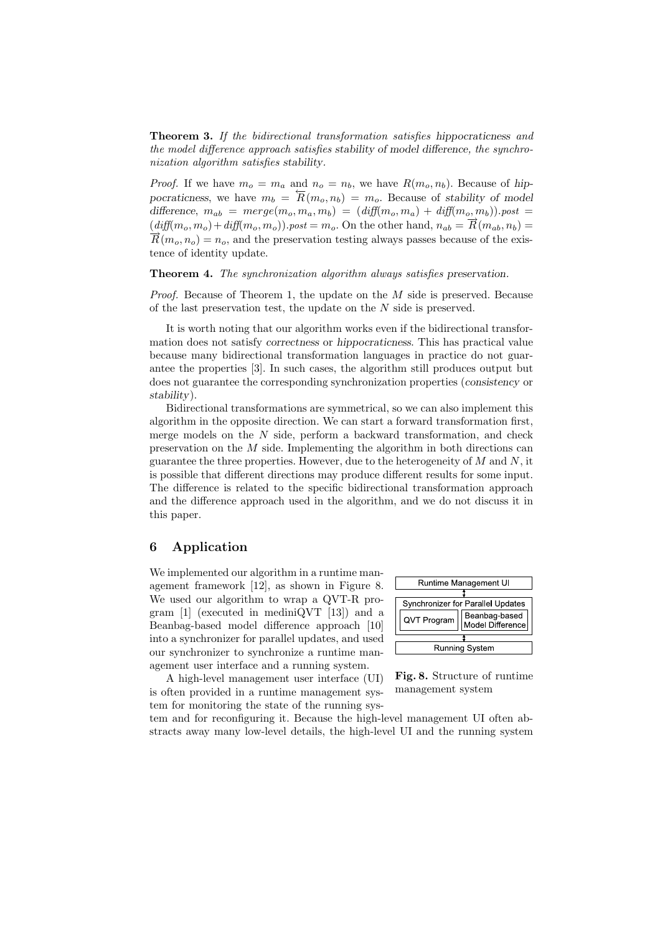Theorem 3. If the bidirectional transformation satisfies hippocraticness and the model difference approach satisfies stability of model difference, the synchronization algorithm satisfies stability.

*Proof.* If we have  $m_o = m_a$  and  $n_o = n_b$ , we have  $R(m_o, n_b)$ . Because of hippocraticness, we have  $m_b = \overline{R}(m_o, n_b) = m_o$ . Because of stability of model difference,  $m_{ab} = merge(m_o, m_a, m_b) = (diff(m_o, m_a) + diff(m_o, m_b))$ .post = (diff(m<sub>o</sub>, m<sub>o</sub>) + diff(m<sub>o</sub>, m<sub>o</sub>)).post = m<sub>o</sub>. On the other hand,  $n_{ab} = \overrightarrow{R}(m_{ab}, n_b) =$  $\vec{R}(m_o, n_o) = n_o$ , and the preservation testing always passes because of the existence of identity update.

#### Theorem 4. The synchronization algorithm always satisfies preservation.

*Proof.* Because of Theorem 1, the update on the M side is preserved. Because of the last preservation test, the update on the  $N$  side is preserved.

It is worth noting that our algorithm works even if the bidirectional transformation does not satisfy correctness or hippocraticness. This has practical value because many bidirectional transformation languages in practice do not guarantee the properties [3]. In such cases, the algorithm still produces output but does not guarantee the corresponding synchronization properties (consistency or stability).

Bidirectional transformations are symmetrical, so we can also implement this algorithm in the opposite direction. We can start a forward transformation first, merge models on the  $N$  side, perform a backward transformation, and check preservation on the  $M$  side. Implementing the algorithm in both directions can guarantee the three properties. However, due to the heterogeneity of  $M$  and  $N$ , it is possible that different directions may produce different results for some input. The difference is related to the specific bidirectional transformation approach and the difference approach used in the algorithm, and we do not discuss it in this paper.

#### 6 Application

We implemented our algorithm in a runtime management framework [12], as shown in Figure 8. We used our algorithm to wrap a QVT-R program  $[1]$  (executed in mediniQVT  $[13]$ ) and a Beanbag-based model difference approach [10] into a synchronizer for parallel updates, and used our synchronizer to synchronize a runtime management user interface and a running system.

A high-level management user interface (UI) is often provided in a runtime management system for monitoring the state of the running sys-



Fig. 8. Structure of runtime management system

tem and for reconfiguring it. Because the high-level management UI often abstracts away many low-level details, the high-level UI and the running system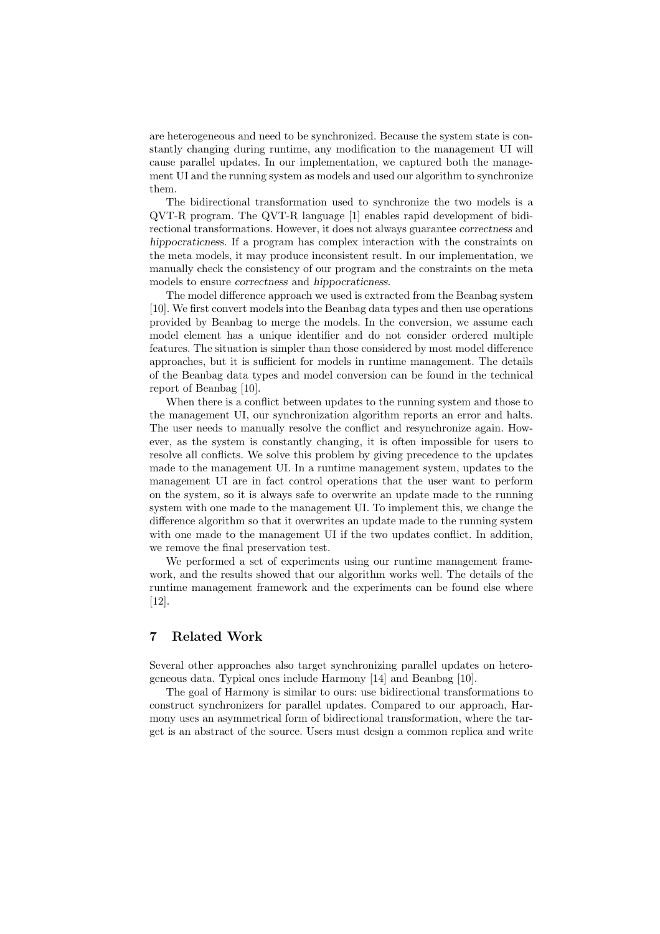are heterogeneous and need to be synchronized. Because the system state is constantly changing during runtime, any modification to the management UI will cause parallel updates. In our implementation, we captured both the management UI and the running system as models and used our algorithm to synchronize them.

The bidirectional transformation used to synchronize the two models is a QVT-R program. The QVT-R language [1] enables rapid development of bidirectional transformations. However, it does not always guarantee correctness and hippocraticness. If a program has complex interaction with the constraints on the meta models, it may produce inconsistent result. In our implementation, we manually check the consistency of our program and the constraints on the meta models to ensure correctness and hippocraticness.

The model difference approach we used is extracted from the Beanbag system [10]. We first convert models into the Beanbag data types and then use operations provided by Beanbag to merge the models. In the conversion, we assume each model element has a unique identifier and do not consider ordered multiple features. The situation is simpler than those considered by most model difference approaches, but it is sufficient for models in runtime management. The details of the Beanbag data types and model conversion can be found in the technical report of Beanbag [10].

When there is a conflict between updates to the running system and those to the management UI, our synchronization algorithm reports an error and halts. The user needs to manually resolve the conflict and resynchronize again. However, as the system is constantly changing, it is often impossible for users to resolve all conflicts. We solve this problem by giving precedence to the updates made to the management UI. In a runtime management system, updates to the management UI are in fact control operations that the user want to perform on the system, so it is always safe to overwrite an update made to the running system with one made to the management UI. To implement this, we change the difference algorithm so that it overwrites an update made to the running system with one made to the management UI if the two updates conflict. In addition, we remove the final preservation test.

We performed a set of experiments using our runtime management framework, and the results showed that our algorithm works well. The details of the runtime management framework and the experiments can be found else where [12].

#### 7 Related Work

Several other approaches also target synchronizing parallel updates on heterogeneous data. Typical ones include Harmony [14] and Beanbag [10].

The goal of Harmony is similar to ours: use bidirectional transformations to construct synchronizers for parallel updates. Compared to our approach, Harmony uses an asymmetrical form of bidirectional transformation, where the target is an abstract of the source. Users must design a common replica and write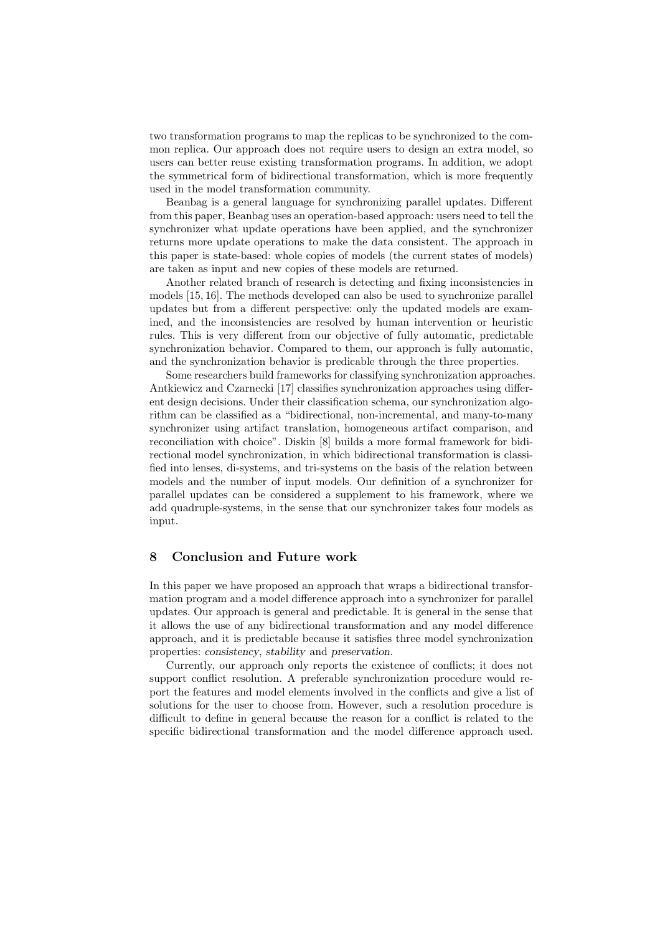two transformation programs to map the replicas to be synchronized to the common replica. Our approach does not require users to design an extra model, so users can better reuse existing transformation programs. In addition, we adopt the symmetrical form of bidirectional transformation, which is more frequently used in the model transformation community.

Beanbag is a general language for synchronizing parallel updates. Different from this paper, Beanbag uses an operation-based approach: users need to tell the synchronizer what update operations have been applied, and the synchronizer returns more update operations to make the data consistent. The approach in this paper is state-based: whole copies of models (the current states of models) are taken as input and new copies of these models are returned.

Another related branch of research is detecting and fixing inconsistencies in models [15, 16]. The methods developed can also be used to synchronize parallel updates but from a different perspective: only the updated models are examined, and the inconsistencies are resolved by human intervention or heuristic rules. This is very different from our objective of fully automatic, predictable synchronization behavior. Compared to them, our approach is fully automatic, and the synchronization behavior is predicable through the three properties.

Some researchers build frameworks for classifying synchronization approaches. Antkiewicz and Czarnecki [17] classifies synchronization approaches using different design decisions. Under their classification schema, our synchronization algorithm can be classified as a "bidirectional, non-incremental, and many-to-many synchronizer using artifact translation, homogeneous artifact comparison, and reconciliation with choice". Diskin [8] builds a more formal framework for bidirectional model synchronization, in which bidirectional transformation is classified into lenses, di-systems, and tri-systems on the basis of the relation between models and the number of input models. Our definition of a synchronizer for parallel updates can be considered a supplement to his framework, where we add quadruple-systems, in the sense that our synchronizer takes four models as input.

#### 8 Conclusion and Future work

In this paper we have proposed an approach that wraps a bidirectional transformation program and a model difference approach into a synchronizer for parallel updates. Our approach is general and predictable. It is general in the sense that it allows the use of any bidirectional transformation and any model difference approach, and it is predictable because it satisfies three model synchronization properties: consistency, stability and preservation.

Currently, our approach only reports the existence of conflicts; it does not support conflict resolution. A preferable synchronization procedure would report the features and model elements involved in the conflicts and give a list of solutions for the user to choose from. However, such a resolution procedure is difficult to define in general because the reason for a conflict is related to the specific bidirectional transformation and the model difference approach used.